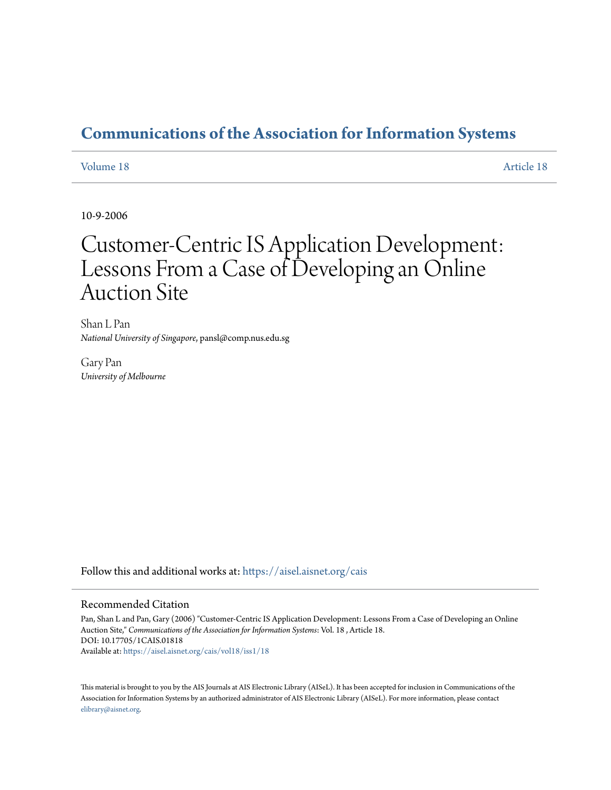## **[Communications of the Association for Information Systems](https://aisel.aisnet.org/cais?utm_source=aisel.aisnet.org%2Fcais%2Fvol18%2Fiss1%2F18&utm_medium=PDF&utm_campaign=PDFCoverPages)**

#### [Volume 18](https://aisel.aisnet.org/cais/vol18?utm_source=aisel.aisnet.org%2Fcais%2Fvol18%2Fiss1%2F18&utm_medium=PDF&utm_campaign=PDFCoverPages) [Article 18](https://aisel.aisnet.org/cais/vol18/iss1/18?utm_source=aisel.aisnet.org%2Fcais%2Fvol18%2Fiss1%2F18&utm_medium=PDF&utm_campaign=PDFCoverPages)

10-9-2006

# Customer-Centric IS Application Development: Lessons From a Case of Developing an Online Auction Site

Shan L Pan *National University of Singapore*, pansl@comp.nus.edu.sg

Gary Pan *University of Melbourne*

Follow this and additional works at: [https://aisel.aisnet.org/cais](https://aisel.aisnet.org/cais?utm_source=aisel.aisnet.org%2Fcais%2Fvol18%2Fiss1%2F18&utm_medium=PDF&utm_campaign=PDFCoverPages)

#### Recommended Citation

Pan, Shan L and Pan, Gary (2006) "Customer-Centric IS Application Development: Lessons From a Case of Developing an Online Auction Site," *Communications of the Association for Information Systems*: Vol. 18 , Article 18. DOI: 10.17705/1CAIS.01818 Available at: [https://aisel.aisnet.org/cais/vol18/iss1/18](https://aisel.aisnet.org/cais/vol18/iss1/18?utm_source=aisel.aisnet.org%2Fcais%2Fvol18%2Fiss1%2F18&utm_medium=PDF&utm_campaign=PDFCoverPages)

This material is brought to you by the AIS Journals at AIS Electronic Library (AISeL). It has been accepted for inclusion in Communications of the Association for Information Systems by an authorized administrator of AIS Electronic Library (AISeL). For more information, please contact [elibrary@aisnet.org.](mailto:elibrary@aisnet.org%3E)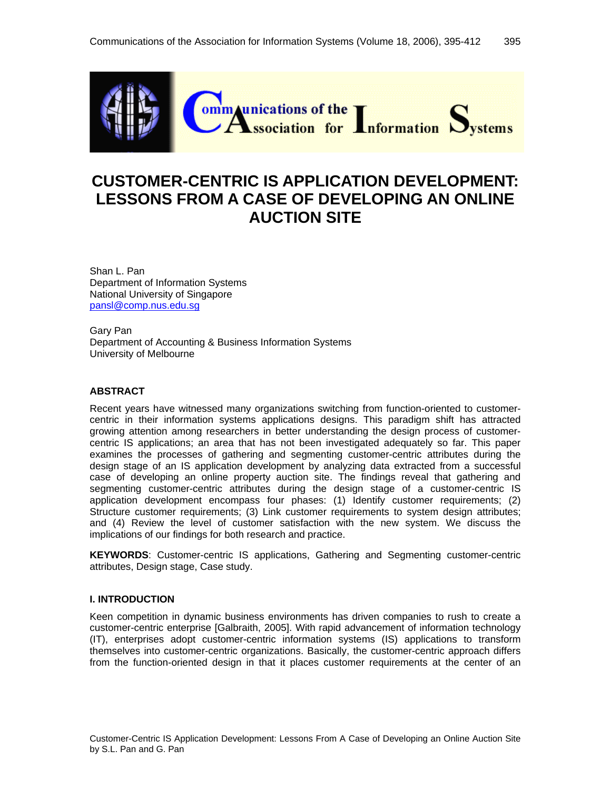

## **CUSTOMER-CENTRIC IS APPLICATION DEVELOPMENT: LESSONS FROM A CASE OF DEVELOPING AN ONLINE AUCTION SITE**

Shan L. Pan Department of Information Systems National University of Singapore [pansl@comp.nus.edu.sg](mailto:pansl@comp.nus.edu.sg)

Gary Pan Department of Accounting & Business Information Systems University of Melbourne

#### **ABSTRACT**

Recent years have witnessed many organizations switching from function-oriented to customercentric in their information systems applications designs. This paradigm shift has attracted growing attention among researchers in better understanding the design process of customercentric IS applications; an area that has not been investigated adequately so far. This paper examines the processes of gathering and segmenting customer-centric attributes during the design stage of an IS application development by analyzing data extracted from a successful case of developing an online property auction site. The findings reveal that gathering and segmenting customer-centric attributes during the design stage of a customer-centric IS application development encompass four phases: (1) Identify customer requirements; (2) Structure customer requirements; (3) Link customer requirements to system design attributes; and (4) Review the level of customer satisfaction with the new system. We discuss the implications of our findings for both research and practice.

**KEYWORDS**: Customer-centric IS applications, Gathering and Segmenting customer-centric attributes, Design stage, Case study.

#### **I. INTRODUCTION**

Keen competition in dynamic business environments has driven companies to rush to create a customer-centric enterprise [Galbraith, 2005]. With rapid advancement of information technology (IT), enterprises adopt customer-centric information systems (IS) applications to transform themselves into customer-centric organizations. Basically, the customer-centric approach differs from the function-oriented design in that it places customer requirements at the center of an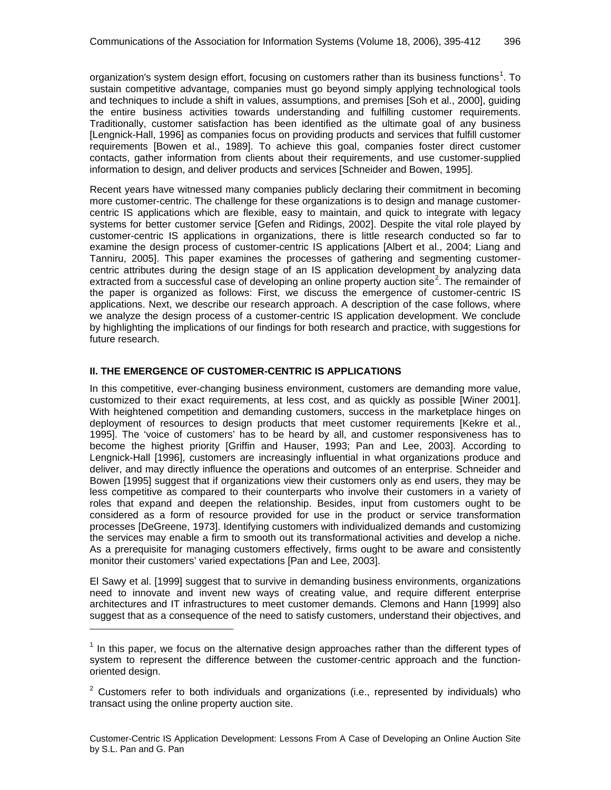organization's system design effort, focusing on customers rather than its business functions<sup>[1](#page-2-0)</sup>. To sustain competitive advantage, companies must go beyond simply applying technological tools and techniques to include a shift in values, assumptions, and premises [Soh et al., 2000], guiding the entire business activities towards understanding and fulfilling customer requirements. Traditionally, customer satisfaction has been identified as the ultimate goal of any business [Lengnick-Hall, 1996] as companies focus on providing products and services that fulfill customer requirements [Bowen et al., 1989]. To achieve this goal, companies foster direct customer contacts, gather information from clients about their requirements, and use customer-supplied information to design, and deliver products and services [Schneider and Bowen, 1995].

Recent years have witnessed many companies publicly declaring their commitment in becoming more customer-centric. The challenge for these organizations is to design and manage customercentric IS applications which are flexible, easy to maintain, and quick to integrate with legacy systems for better customer service [Gefen and Ridings, 2002]. Despite the vital role played by customer-centric IS applications in organizations, there is little research conducted so far to examine the design process of customer-centric IS applications [Albert et al., 2004; Liang and Tanniru, 2005]. This paper examines the processes of gathering and segmenting customercentric attributes during the design stage of an IS application development by analyzing data extracted from a successful case of developing an online property auction site<sup>[2](#page-2-1)</sup>. The remainder of the paper is organized as follows: First, we discuss the emergence of customer-centric IS applications. Next, we describe our research approach. A description of the case follows, where we analyze the design process of a customer-centric IS application development. We conclude by highlighting the implications of our findings for both research and practice, with suggestions for future research.

#### **II. THE EMERGENCE OF CUSTOMER-CENTRIC IS APPLICATIONS**

l

In this competitive, ever-changing business environment, customers are demanding more value, customized to their exact requirements, at less cost, and as quickly as possible [Winer 2001]. With heightened competition and demanding customers, success in the marketplace hinges on deployment of resources to design products that meet customer requirements [Kekre et al., 1995]. The 'voice of customers' has to be heard by all, and customer responsiveness has to become the highest priority [Griffin and Hauser, 1993; Pan and Lee, 2003]. According to Lengnick-Hall [1996], customers are increasingly influential in what organizations produce and deliver, and may directly influence the operations and outcomes of an enterprise. Schneider and Bowen [1995] suggest that if organizations view their customers only as end users, they may be less competitive as compared to their counterparts who involve their customers in a variety of roles that expand and deepen the relationship. Besides, input from customers ought to be considered as a form of resource provided for use in the product or service transformation processes [DeGreene, 1973]. Identifying customers with individualized demands and customizing the services may enable a firm to smooth out its transformational activities and develop a niche. As a prerequisite for managing customers effectively, firms ought to be aware and consistently monitor their customers' varied expectations [Pan and Lee, 2003].

El Sawy et al. [1999] suggest that to survive in demanding business environments, organizations need to innovate and invent new ways of creating value, and require different enterprise architectures and IT infrastructures to meet customer demands. Clemons and Hann [1999] also suggest that as a consequence of the need to satisfy customers, understand their objectives, and

<span id="page-2-0"></span> $1$  In this paper, we focus on the alternative design approaches rather than the different types of system to represent the difference between the customer-centric approach and the functionoriented design.

<span id="page-2-1"></span> $2$  Customers refer to both individuals and organizations (i.e., represented by individuals) who transact using the online property auction site.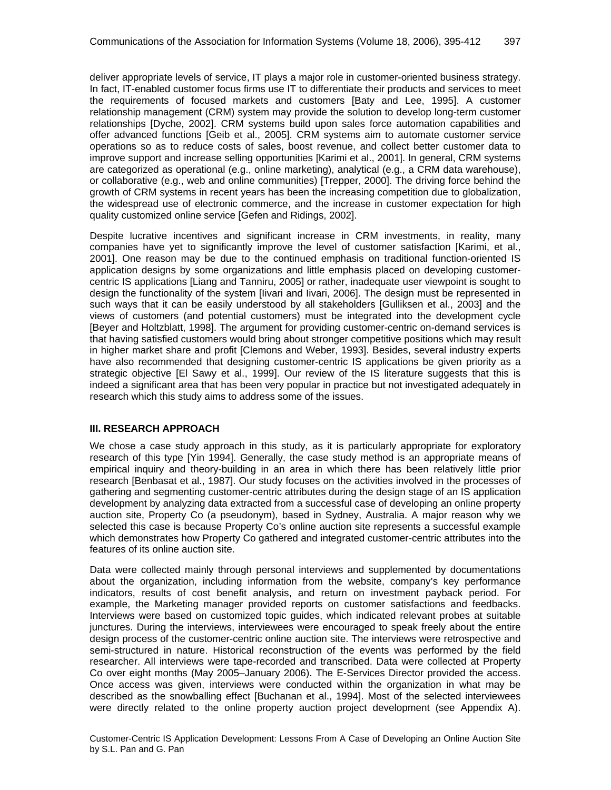deliver appropriate levels of service, IT plays a major role in customer-oriented business strategy. In fact, IT-enabled customer focus firms use IT to differentiate their products and services to meet the requirements of focused markets and customers [Baty and Lee, 1995]. A customer relationship management (CRM) system may provide the solution to develop long-term customer relationships [Dyche, 2002]. CRM systems build upon sales force automation capabilities and offer advanced functions [Geib et al., 2005]. CRM systems aim to automate customer service operations so as to reduce costs of sales, boost revenue, and collect better customer data to improve support and increase selling opportunities [Karimi et al., 2001]. In general, CRM systems are categorized as operational (e.g., online marketing), analytical (e.g., a CRM data warehouse), or collaborative (e.g., web and online communities) [Trepper, 2000]. The driving force behind the growth of CRM systems in recent years has been the increasing competition due to globalization, the widespread use of electronic commerce, and the increase in customer expectation for high quality customized online service [Gefen and Ridings, 2002].

Despite lucrative incentives and significant increase in CRM investments, in reality, many companies have yet to significantly improve the level of customer satisfaction [Karimi, et al., 2001]. One reason may be due to the continued emphasis on traditional function-oriented IS application designs by some organizations and little emphasis placed on developing customercentric IS applications [Liang and Tanniru, 2005] or rather, inadequate user viewpoint is sought to design the functionality of the system [Iivari and Iivari, 2006]. The design must be represented in such ways that it can be easily understood by all stakeholders [Gulliksen et al., 2003] and the views of customers (and potential customers) must be integrated into the development cycle [Beyer and Holtzblatt, 1998]. The argument for providing customer-centric on-demand services is that having satisfied customers would bring about stronger competitive positions which may result in higher market share and profit [Clemons and Weber, 1993]. Besides, several industry experts have also recommended that designing customer-centric IS applications be given priority as a strategic objective [El Sawy et al., 1999]. Our review of the IS literature suggests that this is indeed a significant area that has been very popular in practice but not investigated adequately in research which this study aims to address some of the issues.

#### **III. RESEARCH APPROACH**

We chose a case study approach in this study, as it is particularly appropriate for exploratory research of this type [Yin 1994]. Generally, the case study method is an appropriate means of empirical inquiry and theory-building in an area in which there has been relatively little prior research [Benbasat et al., 1987]. Our study focuses on the activities involved in the processes of gathering and segmenting customer-centric attributes during the design stage of an IS application development by analyzing data extracted from a successful case of developing an online property auction site, Property Co (a pseudonym), based in Sydney, Australia. A major reason why we selected this case is because Property Co's online auction site represents a successful example which demonstrates how Property Co gathered and integrated customer-centric attributes into the features of its online auction site.

Data were collected mainly through personal interviews and supplemented by documentations about the organization, including information from the website, company's key performance indicators, results of cost benefit analysis, and return on investment payback period. For example, the Marketing manager provided reports on customer satisfactions and feedbacks. Interviews were based on customized topic guides, which indicated relevant probes at suitable junctures. During the interviews, interviewees were encouraged to speak freely about the entire design process of the customer-centric online auction site. The interviews were retrospective and semi-structured in nature. Historical reconstruction of the events was performed by the field researcher. All interviews were tape-recorded and transcribed. Data were collected at Property Co over eight months (May 2005–January 2006). The E-Services Director provided the access. Once access was given, interviews were conducted within the organization in what may be described as the snowballing effect [Buchanan et al., 1994]. Most of the selected interviewees were directly related to the online property auction project development (see Appendix A).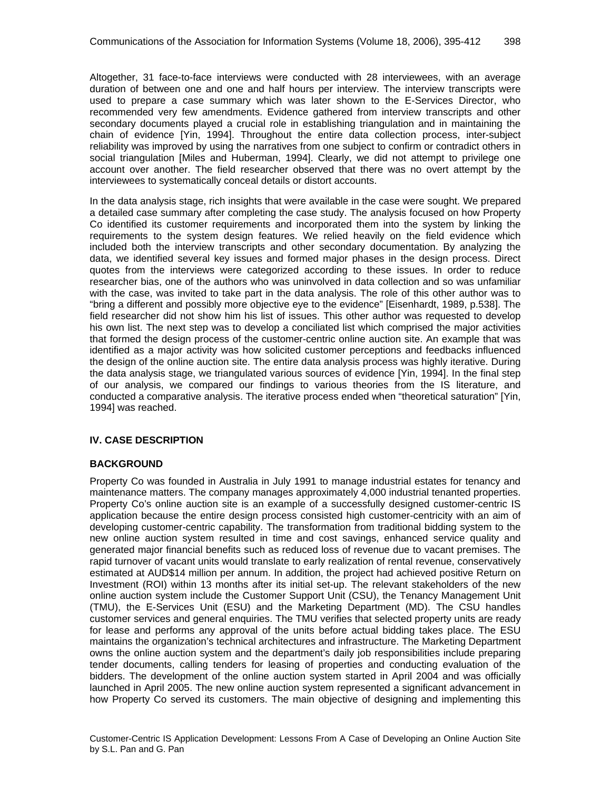Altogether, 31 face-to-face interviews were conducted with 28 interviewees, with an average duration of between one and one and half hours per interview. The interview transcripts were used to prepare a case summary which was later shown to the E-Services Director, who recommended very few amendments. Evidence gathered from interview transcripts and other secondary documents played a crucial role in establishing triangulation and in maintaining the chain of evidence [Yin, 1994]. Throughout the entire data collection process, inter-subject reliability was improved by using the narratives from one subject to confirm or contradict others in social triangulation [Miles and Huberman, 1994]. Clearly, we did not attempt to privilege one account over another. The field researcher observed that there was no overt attempt by the interviewees to systematically conceal details or distort accounts.

In the data analysis stage, rich insights that were available in the case were sought. We prepared a detailed case summary after completing the case study. The analysis focused on how Property Co identified its customer requirements and incorporated them into the system by linking the requirements to the system design features. We relied heavily on the field evidence which included both the interview transcripts and other secondary documentation. By analyzing the data, we identified several key issues and formed major phases in the design process. Direct quotes from the interviews were categorized according to these issues. In order to reduce researcher bias, one of the authors who was uninvolved in data collection and so was unfamiliar with the case, was invited to take part in the data analysis. The role of this other author was to "bring a different and possibly more objective eye to the evidence" [Eisenhardt, 1989, p.538]. The field researcher did not show him his list of issues. This other author was requested to develop his own list. The next step was to develop a conciliated list which comprised the major activities that formed the design process of the customer-centric online auction site. An example that was identified as a major activity was how solicited customer perceptions and feedbacks influenced the design of the online auction site. The entire data analysis process was highly iterative. During the data analysis stage, we triangulated various sources of evidence [Yin, 1994]. In the final step of our analysis, we compared our findings to various theories from the IS literature, and conducted a comparative analysis. The iterative process ended when "theoretical saturation" [Yin, 1994] was reached.

#### **IV. CASE DESCRIPTION**

#### **BACKGROUND**

Property Co was founded in Australia in July 1991 to manage industrial estates for tenancy and maintenance matters. The company manages approximately 4,000 industrial tenanted properties. Property Co's online auction site is an example of a successfully designed customer-centric IS application because the entire design process consisted high customer-centricity with an aim of developing customer-centric capability. The transformation from traditional bidding system to the new online auction system resulted in time and cost savings, enhanced service quality and generated major financial benefits such as reduced loss of revenue due to vacant premises. The rapid turnover of vacant units would translate to early realization of rental revenue, conservatively estimated at AUD\$14 million per annum. In addition, the project had achieved positive Return on Investment (ROI) within 13 months after its initial set-up. The relevant stakeholders of the new online auction system include the Customer Support Unit (CSU), the Tenancy Management Unit (TMU), the E-Services Unit (ESU) and the Marketing Department (MD). The CSU handles customer services and general enquiries. The TMU verifies that selected property units are ready for lease and performs any approval of the units before actual bidding takes place. The ESU maintains the organization's technical architectures and infrastructure. The Marketing Department owns the online auction system and the department's daily job responsibilities include preparing tender documents, calling tenders for leasing of properties and conducting evaluation of the bidders. The development of the online auction system started in April 2004 and was officially launched in April 2005. The new online auction system represented a significant advancement in how Property Co served its customers. The main objective of designing and implementing this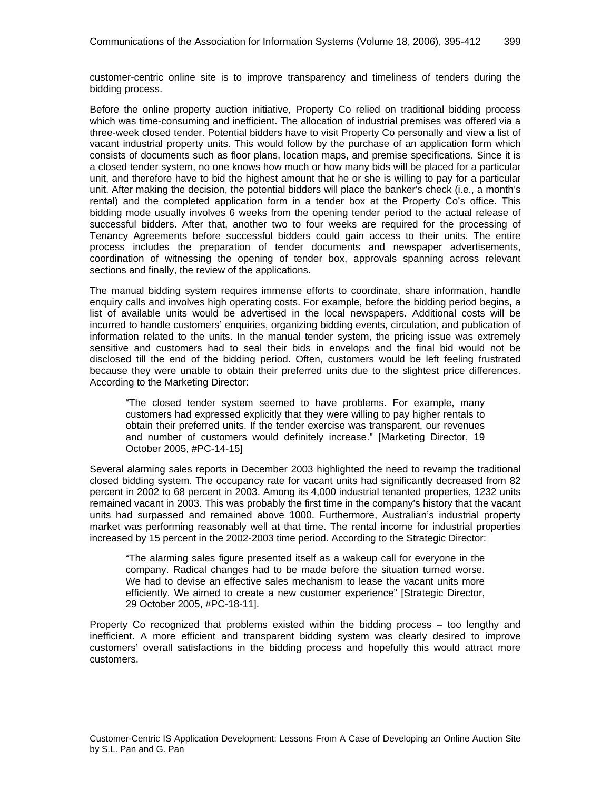customer-centric online site is to improve transparency and timeliness of tenders during the bidding process.

Before the online property auction initiative, Property Co relied on traditional bidding process which was time-consuming and inefficient. The allocation of industrial premises was offered via a three-week closed tender. Potential bidders have to visit Property Co personally and view a list of vacant industrial property units. This would follow by the purchase of an application form which consists of documents such as floor plans, location maps, and premise specifications. Since it is a closed tender system, no one knows how much or how many bids will be placed for a particular unit, and therefore have to bid the highest amount that he or she is willing to pay for a particular unit. After making the decision, the potential bidders will place the banker's check (i.e., a month's rental) and the completed application form in a tender box at the Property Co's office. This bidding mode usually involves 6 weeks from the opening tender period to the actual release of successful bidders. After that, another two to four weeks are required for the processing of Tenancy Agreements before successful bidders could gain access to their units. The entire process includes the preparation of tender documents and newspaper advertisements, coordination of witnessing the opening of tender box, approvals spanning across relevant sections and finally, the review of the applications.

The manual bidding system requires immense efforts to coordinate, share information, handle enquiry calls and involves high operating costs. For example, before the bidding period begins, a list of available units would be advertised in the local newspapers. Additional costs will be incurred to handle customers' enquiries, organizing bidding events, circulation, and publication of information related to the units. In the manual tender system, the pricing issue was extremely sensitive and customers had to seal their bids in envelops and the final bid would not be disclosed till the end of the bidding period. Often, customers would be left feeling frustrated because they were unable to obtain their preferred units due to the slightest price differences. According to the Marketing Director:

"The closed tender system seemed to have problems. For example, many customers had expressed explicitly that they were willing to pay higher rentals to obtain their preferred units. If the tender exercise was transparent, our revenues and number of customers would definitely increase." [Marketing Director, 19 October 2005, #PC-14-15]

Several alarming sales reports in December 2003 highlighted the need to revamp the traditional closed bidding system. The occupancy rate for vacant units had significantly decreased from 82 percent in 2002 to 68 percent in 2003. Among its 4,000 industrial tenanted properties, 1232 units remained vacant in 2003. This was probably the first time in the company's history that the vacant units had surpassed and remained above 1000. Furthermore, Australian's industrial property market was performing reasonably well at that time. The rental income for industrial properties increased by 15 percent in the 2002-2003 time period. According to the Strategic Director:

"The alarming sales figure presented itself as a wakeup call for everyone in the company. Radical changes had to be made before the situation turned worse. We had to devise an effective sales mechanism to lease the vacant units more efficiently. We aimed to create a new customer experience" [Strategic Director, 29 October 2005, #PC-18-11].

Property Co recognized that problems existed within the bidding process – too lengthy and inefficient. A more efficient and transparent bidding system was clearly desired to improve customers' overall satisfactions in the bidding process and hopefully this would attract more customers.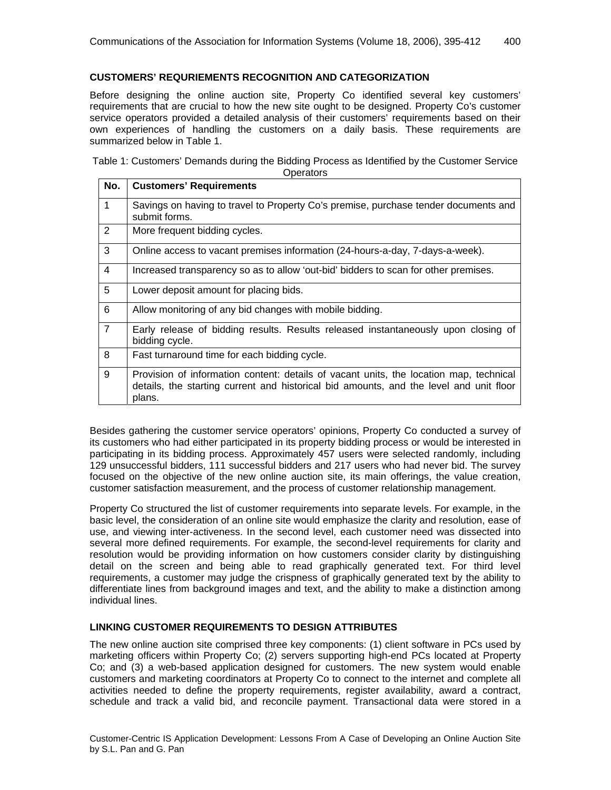#### **CUSTOMERS' REQURIEMENTS RECOGNITION AND CATEGORIZATION**

Before designing the online auction site, Property Co identified several key customers' requirements that are crucial to how the new site ought to be designed. Property Co's customer service operators provided a detailed analysis of their customers' requirements based on their own experiences of handling the customers on a daily basis. These requirements are summarized below in Table 1.

Table 1: Customers' Demands during the Bidding Process as Identified by the Customer Service **Operators** 

| No.            | <b>Customers' Requirements</b>                                                                                                                                                             |  |  |  |  |
|----------------|--------------------------------------------------------------------------------------------------------------------------------------------------------------------------------------------|--|--|--|--|
| $\mathbf 1$    | Savings on having to travel to Property Co's premise, purchase tender documents and<br>submit forms.                                                                                       |  |  |  |  |
| 2              | More frequent bidding cycles.                                                                                                                                                              |  |  |  |  |
| 3              | Online access to vacant premises information (24-hours-a-day, 7-days-a-week).                                                                                                              |  |  |  |  |
| 4              | Increased transparency so as to allow 'out-bid' bidders to scan for other premises.                                                                                                        |  |  |  |  |
| 5              | Lower deposit amount for placing bids.                                                                                                                                                     |  |  |  |  |
| 6              | Allow monitoring of any bid changes with mobile bidding.                                                                                                                                   |  |  |  |  |
| $\overline{7}$ | Early release of bidding results. Results released instantaneously upon closing of<br>bidding cycle.                                                                                       |  |  |  |  |
| 8              | Fast turnaround time for each bidding cycle.                                                                                                                                               |  |  |  |  |
| 9              | Provision of information content: details of vacant units, the location map, technical<br>details, the starting current and historical bid amounts, and the level and unit floor<br>plans. |  |  |  |  |

Besides gathering the customer service operators' opinions, Property Co conducted a survey of its customers who had either participated in its property bidding process or would be interested in participating in its bidding process. Approximately 457 users were selected randomly, including 129 unsuccessful bidders, 111 successful bidders and 217 users who had never bid. The survey focused on the objective of the new online auction site, its main offerings, the value creation, customer satisfaction measurement, and the process of customer relationship management.

Property Co structured the list of customer requirements into separate levels. For example, in the basic level, the consideration of an online site would emphasize the clarity and resolution, ease of use, and viewing inter-activeness. In the second level, each customer need was dissected into several more defined requirements. For example, the second-level requirements for clarity and resolution would be providing information on how customers consider clarity by distinguishing detail on the screen and being able to read graphically generated text. For third level requirements, a customer may judge the crispness of graphically generated text by the ability to differentiate lines from background images and text, and the ability to make a distinction among individual lines.

#### **LINKING CUSTOMER REQUIREMENTS TO DESIGN ATTRIBUTES**

The new online auction site comprised three key components: (1) client software in PCs used by marketing officers within Property Co; (2) servers supporting high-end PCs located at Property Co; and (3) a web-based application designed for customers. The new system would enable customers and marketing coordinators at Property Co to connect to the internet and complete all activities needed to define the property requirements, register availability, award a contract, schedule and track a valid bid, and reconcile payment. Transactional data were stored in a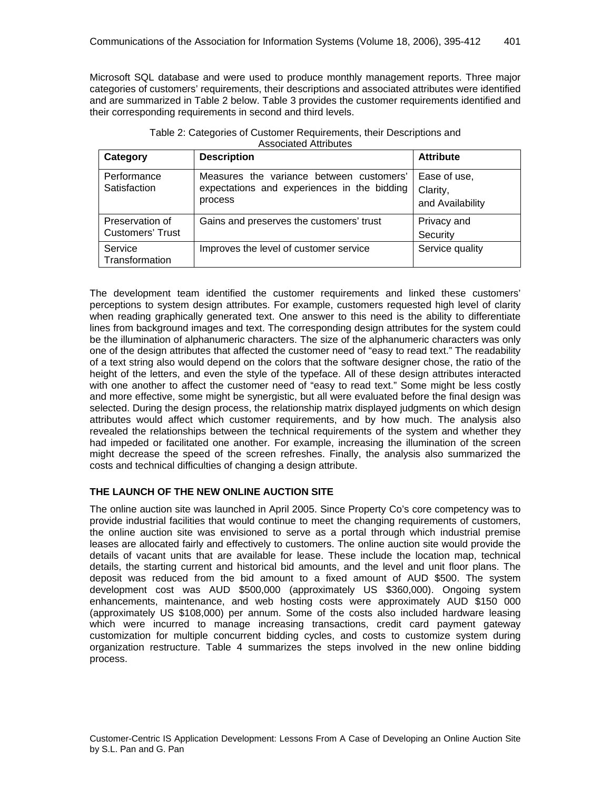Microsoft SQL database and were used to produce monthly management reports. Three major categories of customers' requirements, their descriptions and associated attributes were identified and are summarized in Table 2 below. Table 3 provides the customer requirements identified and their corresponding requirements in second and third levels.

| Table 2: Categories of Customer Requirements, their Descriptions and |
|----------------------------------------------------------------------|
| <b>Associated Attributes</b>                                         |

| Category                                   | <b>Description</b>                                                                                 | <b>Attribute</b>                             |
|--------------------------------------------|----------------------------------------------------------------------------------------------------|----------------------------------------------|
| Performance<br>Satisfaction                | Measures the variance between customers'<br>expectations and experiences in the bidding<br>process | Ease of use,<br>Clarity,<br>and Availability |
| Preservation of<br><b>Customers' Trust</b> | Gains and preserves the customers' trust                                                           | Privacy and<br>Security                      |
| Service<br>Transformation                  | Improves the level of customer service                                                             | Service quality                              |

The development team identified the customer requirements and linked these customers' perceptions to system design attributes. For example, customers requested high level of clarity when reading graphically generated text. One answer to this need is the ability to differentiate lines from background images and text. The corresponding design attributes for the system could be the illumination of alphanumeric characters. The size of the alphanumeric characters was only one of the design attributes that affected the customer need of "easy to read text." The readability of a text string also would depend on the colors that the software designer chose, the ratio of the height of the letters, and even the style of the typeface. All of these design attributes interacted with one another to affect the customer need of "easy to read text." Some might be less costly and more effective, some might be synergistic, but all were evaluated before the final design was selected. During the design process, the relationship matrix displayed judgments on which design attributes would affect which customer requirements, and by how much. The analysis also revealed the relationships between the technical requirements of the system and whether they had impeded or facilitated one another. For example, increasing the illumination of the screen might decrease the speed of the screen refreshes. Finally, the analysis also summarized the costs and technical difficulties of changing a design attribute.

#### **THE LAUNCH OF THE NEW ONLINE AUCTION SITE**

The online auction site was launched in April 2005. Since Property Co's core competency was to provide industrial facilities that would continue to meet the changing requirements of customers, the online auction site was envisioned to serve as a portal through which industrial premise leases are allocated fairly and effectively to customers. The online auction site would provide the details of vacant units that are available for lease. These include the location map, technical details, the starting current and historical bid amounts, and the level and unit floor plans. The deposit was reduced from the bid amount to a fixed amount of AUD \$500. The system development cost was AUD \$500,000 (approximately US \$360,000). Ongoing system enhancements, maintenance, and web hosting costs were approximately AUD \$150 000 (approximately US \$108,000) per annum. Some of the costs also included hardware leasing which were incurred to manage increasing transactions, credit card payment gateway customization for multiple concurrent bidding cycles, and costs to customize system during organization restructure. Table 4 summarizes the steps involved in the new online bidding process.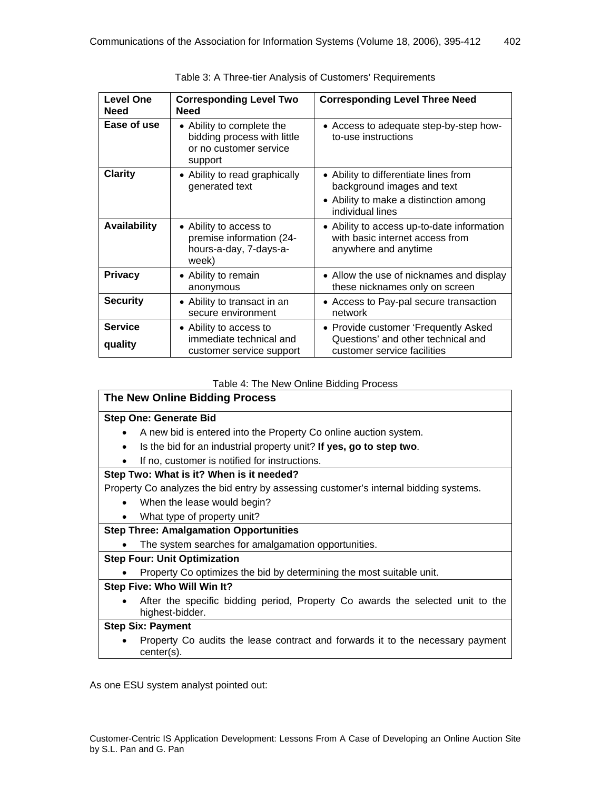| <b>Level One</b><br><b>Need</b> | <b>Corresponding Level Two</b><br><b>Need</b>                                                 | <b>Corresponding Level Three Need</b>                                                                                            |
|---------------------------------|-----------------------------------------------------------------------------------------------|----------------------------------------------------------------------------------------------------------------------------------|
| Ease of use                     | • Ability to complete the<br>bidding process with little<br>or no customer service<br>support | • Access to adequate step-by-step how-<br>to-use instructions                                                                    |
| <b>Clarity</b>                  | • Ability to read graphically<br>generated text                                               | • Ability to differentiate lines from<br>background images and text<br>• Ability to make a distinction among<br>individual lines |
| <b>Availability</b>             | • Ability to access to<br>premise information (24-<br>hours-a-day, 7-days-a-<br>week)         | • Ability to access up-to-date information<br>with basic internet access from<br>anywhere and anytime                            |
| <b>Privacy</b>                  | • Ability to remain<br>anonymous                                                              | • Allow the use of nicknames and display<br>these nicknames only on screen                                                       |
| <b>Security</b>                 | • Ability to transact in an<br>secure environment                                             | • Access to Pay-pal secure transaction<br>network                                                                                |
| <b>Service</b><br>quality       | • Ability to access to<br>immediate technical and<br>customer service support                 | • Provide customer 'Frequently Asked<br>Questions' and other technical and<br>customer service facilities                        |

Table 3: A Three-tier Analysis of Customers' Requirements

#### Table 4: The New Online Bidding Process

#### **The New Online Bidding Process**

#### **Step One: Generate Bid**

- A new bid is entered into the Property Co online auction system.
- Is the bid for an industrial property unit? **If yes, go to step two**.
- If no, customer is notified for instructions.

#### **Step Two: What is it? When is it needed?**

Property Co analyzes the bid entry by assessing customer's internal bidding systems.

- When the lease would begin?
- What type of property unit?

#### **Step Three: Amalgamation Opportunities**

• The system searches for amalgamation opportunities.

#### **Step Four: Unit Optimization**

• Property Co optimizes the bid by determining the most suitable unit.

#### **Step Five: Who Will Win It?**

• After the specific bidding period, Property Co awards the selected unit to the highest-bidder.

#### **Step Six: Payment**

• Property Co audits the lease contract and forwards it to the necessary payment center(s).

As one ESU system analyst pointed out: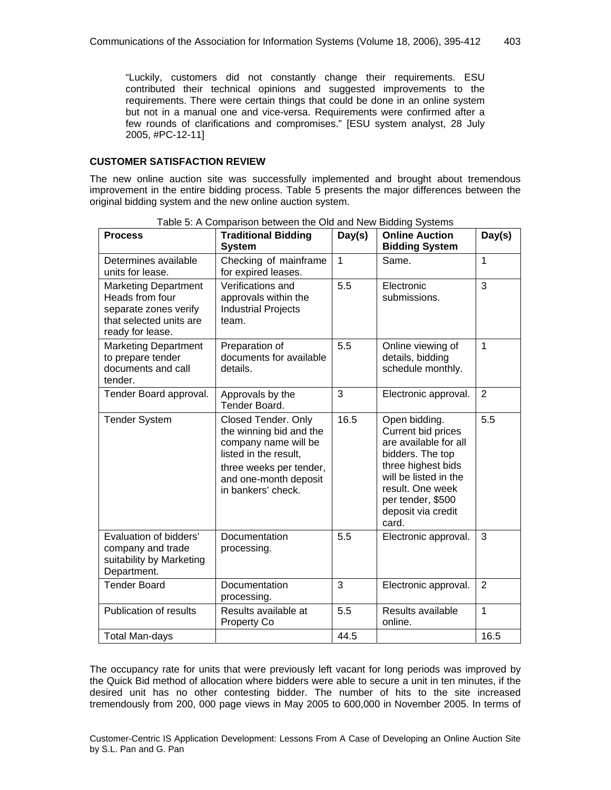"Luckily, customers did not constantly change their requirements. ESU contributed their technical opinions and suggested improvements to the requirements. There were certain things that could be done in an online system but not in a manual one and vice-versa. Requirements were confirmed after a few rounds of clarifications and compromises." [ESU system analyst, 28 July 2005, #PC-12-11]

#### **CUSTOMER SATISFACTION REVIEW**

The new online auction site was successfully implemented and brought about tremendous improvement in the entire bidding process. Table 5 presents the major differences between the original bidding system and the new online auction system.

| <b>Process</b>                                                                                                         | . adio 0. 71 00. pariodir both con tho 0. a<br><b>Traditional Bidding</b>                                                                                                        | Day(s)       | <b>Online Auction</b>                                                                                                                                                                                   | Day(s)         |
|------------------------------------------------------------------------------------------------------------------------|----------------------------------------------------------------------------------------------------------------------------------------------------------------------------------|--------------|---------------------------------------------------------------------------------------------------------------------------------------------------------------------------------------------------------|----------------|
|                                                                                                                        | <b>System</b>                                                                                                                                                                    |              | <b>Bidding System</b>                                                                                                                                                                                   |                |
| Determines available<br>units for lease.                                                                               | Checking of mainframe<br>for expired leases.                                                                                                                                     | $\mathbf{1}$ | Same.                                                                                                                                                                                                   | 1              |
| <b>Marketing Department</b><br>Heads from four<br>separate zones verify<br>that selected units are<br>ready for lease. | Verifications and<br>approvals within the<br><b>Industrial Projects</b><br>team.                                                                                                 | 5.5          | Electronic<br>submissions.                                                                                                                                                                              | 3              |
| <b>Marketing Department</b><br>to prepare tender<br>documents and call<br>tender.                                      | Preparation of<br>documents for available<br>details.                                                                                                                            | 5.5          | Online viewing of<br>details, bidding<br>schedule monthly.                                                                                                                                              | 1              |
| Tender Board approval.                                                                                                 | Approvals by the<br>Tender Board.                                                                                                                                                | 3            | Electronic approval.                                                                                                                                                                                    | $\overline{2}$ |
| <b>Tender System</b>                                                                                                   | <b>Closed Tender. Only</b><br>the winning bid and the<br>company name will be<br>listed in the result.<br>three weeks per tender,<br>and one-month deposit<br>in bankers' check. | 16.5         | Open bidding.<br>Current bid prices<br>are available for all<br>bidders. The top<br>three highest bids<br>will be listed in the<br>result. One week<br>per tender, \$500<br>deposit via credit<br>card. | 5.5            |
| Evaluation of bidders'<br>company and trade<br>suitability by Marketing<br>Department.                                 | Documentation<br>processing.                                                                                                                                                     | 5.5          | Electronic approval.                                                                                                                                                                                    | 3              |
| <b>Tender Board</b>                                                                                                    | Documentation<br>processing.                                                                                                                                                     | 3            | Electronic approval.                                                                                                                                                                                    | $\overline{2}$ |
| Publication of results                                                                                                 | Results available at<br>Property Co                                                                                                                                              | 5.5          | Results available<br>online.                                                                                                                                                                            | $\mathbf{1}$   |
| <b>Total Man-days</b>                                                                                                  |                                                                                                                                                                                  | 44.5         |                                                                                                                                                                                                         | 16.5           |

Table 5: A Comparison between the Old and New Bidding Systems

The occupancy rate for units that were previously left vacant for long periods was improved by the Quick Bid method of allocation where bidders were able to secure a unit in ten minutes, if the desired unit has no other contesting bidder. The number of hits to the site increased tremendously from 200, 000 page views in May 2005 to 600,000 in November 2005. In terms of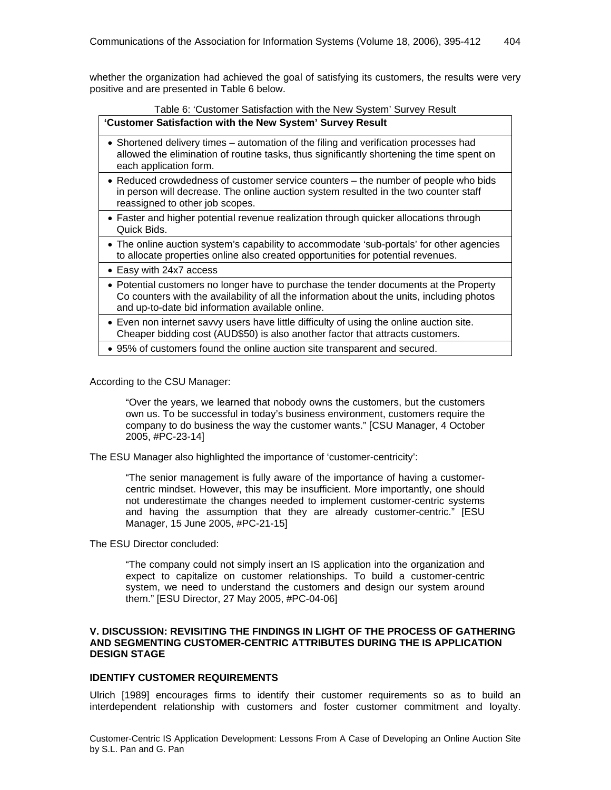whether the organization had achieved the goal of satisfying its customers, the results were very positive and are presented in Table 6 below.

#### Table 6: 'Customer Satisfaction with the New System' Survey Result **'Customer Satisfaction with the New System' Survey Result**

| Customer Satisfaction with the New System Survey Result                                                                                                                                                       |
|---------------------------------------------------------------------------------------------------------------------------------------------------------------------------------------------------------------|
| • Shortened delivery times – automation of the filing and verification processes had<br>allowed the elimination of routine tasks, thus significantly shortening the time spent on<br>each application form.   |
| • Reduced crowdedness of customer service counters – the number of people who bids<br>in person will decrease. The online auction system resulted in the two counter staff<br>reassigned to other job scopes. |
| • Faster and higher potential revenue realization through quicker allocations through                                                                                                                         |

- Faster and higher potential revenue realization through quicker allocations through Quick Bids.
- The online auction system's capability to accommodate 'sub-portals' for other agencies to allocate properties online also created opportunities for potential revenues.
- Easy with 24x7 access
- Potential customers no longer have to purchase the tender documents at the Property Co counters with the availability of all the information about the units, including photos and up-to-date bid information available online.
- Even non internet savvy users have little difficulty of using the online auction site. Cheaper bidding cost (AUD\$50) is also another factor that attracts customers.
- 95% of customers found the online auction site transparent and secured.

According to the CSU Manager:

"Over the years, we learned that nobody owns the customers, but the customers own us. To be successful in today's business environment, customers require the company to do business the way the customer wants." [CSU Manager, 4 October 2005, #PC-23-14]

The ESU Manager also highlighted the importance of 'customer-centricity':

"The senior management is fully aware of the importance of having a customercentric mindset. However, this may be insufficient. More importantly, one should not underestimate the changes needed to implement customer-centric systems and having the assumption that they are already customer-centric." [ESU Manager, 15 June 2005, #PC-21-15]

The ESU Director concluded:

"The company could not simply insert an IS application into the organization and expect to capitalize on customer relationships. To build a customer-centric system, we need to understand the customers and design our system around them." [ESU Director, 27 May 2005, #PC-04-06]

#### **V. DISCUSSION: REVISITING THE FINDINGS IN LIGHT OF THE PROCESS OF GATHERING AND SEGMENTING CUSTOMER-CENTRIC ATTRIBUTES DURING THE IS APPLICATION DESIGN STAGE**

#### **IDENTIFY CUSTOMER REQUIREMENTS**

Ulrich [1989] encourages firms to identify their customer requirements so as to build an interdependent relationship with customers and foster customer commitment and loyalty.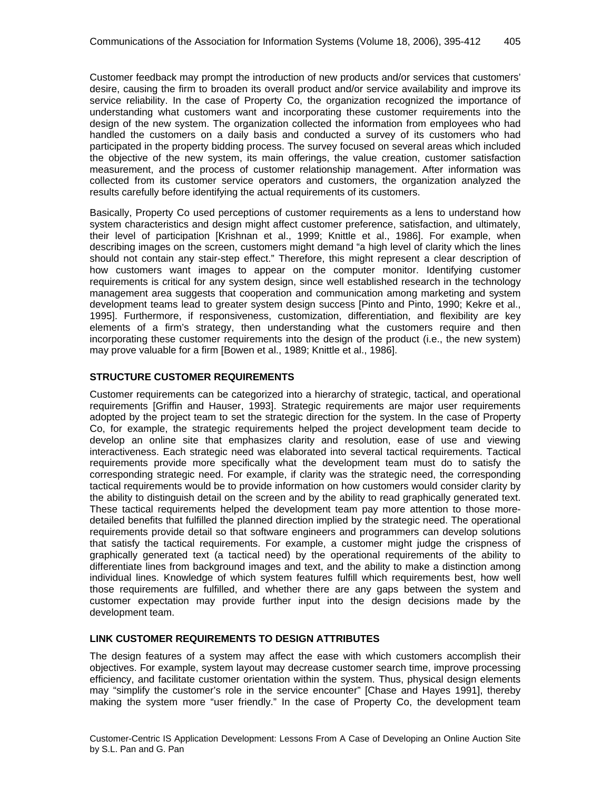Customer feedback may prompt the introduction of new products and/or services that customers' desire, causing the firm to broaden its overall product and/or service availability and improve its service reliability. In the case of Property Co, the organization recognized the importance of understanding what customers want and incorporating these customer requirements into the design of the new system. The organization collected the information from employees who had handled the customers on a daily basis and conducted a survey of its customers who had participated in the property bidding process. The survey focused on several areas which included the objective of the new system, its main offerings, the value creation, customer satisfaction measurement, and the process of customer relationship management. After information was collected from its customer service operators and customers, the organization analyzed the results carefully before identifying the actual requirements of its customers.

Basically, Property Co used perceptions of customer requirements as a lens to understand how system characteristics and design might affect customer preference, satisfaction, and ultimately, their level of participation [Krishnan et al., 1999; Knittle et al., 1986]. For example, when describing images on the screen, customers might demand "a high level of clarity which the lines should not contain any stair-step effect." Therefore, this might represent a clear description of how customers want images to appear on the computer monitor. Identifying customer requirements is critical for any system design, since well established research in the technology management area suggests that cooperation and communication among marketing and system development teams lead to greater system design success [Pinto and Pinto, 1990; Kekre et al., 1995]. Furthermore, if responsiveness, customization, differentiation, and flexibility are key elements of a firm's strategy, then understanding what the customers require and then incorporating these customer requirements into the design of the product (i.e., the new system) may prove valuable for a firm [Bowen et al., 1989; Knittle et al., 1986].

#### **STRUCTURE CUSTOMER REQUIREMENTS**

Customer requirements can be categorized into a hierarchy of strategic, tactical, and operational requirements [Griffin and Hauser, 1993]. Strategic requirements are major user requirements adopted by the project team to set the strategic direction for the system. In the case of Property Co, for example, the strategic requirements helped the project development team decide to develop an online site that emphasizes clarity and resolution, ease of use and viewing interactiveness. Each strategic need was elaborated into several tactical requirements. Tactical requirements provide more specifically what the development team must do to satisfy the corresponding strategic need. For example, if clarity was the strategic need, the corresponding tactical requirements would be to provide information on how customers would consider clarity by the ability to distinguish detail on the screen and by the ability to read graphically generated text. These tactical requirements helped the development team pay more attention to those moredetailed benefits that fulfilled the planned direction implied by the strategic need. The operational requirements provide detail so that software engineers and programmers can develop solutions that satisfy the tactical requirements. For example, a customer might judge the crispness of graphically generated text (a tactical need) by the operational requirements of the ability to differentiate lines from background images and text, and the ability to make a distinction among individual lines. Knowledge of which system features fulfill which requirements best, how well those requirements are fulfilled, and whether there are any gaps between the system and customer expectation may provide further input into the design decisions made by the development team.

#### **LINK CUSTOMER REQUIREMENTS TO DESIGN ATTRIBUTES**

The design features of a system may affect the ease with which customers accomplish their objectives. For example, system layout may decrease customer search time, improve processing efficiency, and facilitate customer orientation within the system. Thus, physical design elements may "simplify the customer's role in the service encounter" [Chase and Hayes 1991], thereby making the system more "user friendly." In the case of Property Co, the development team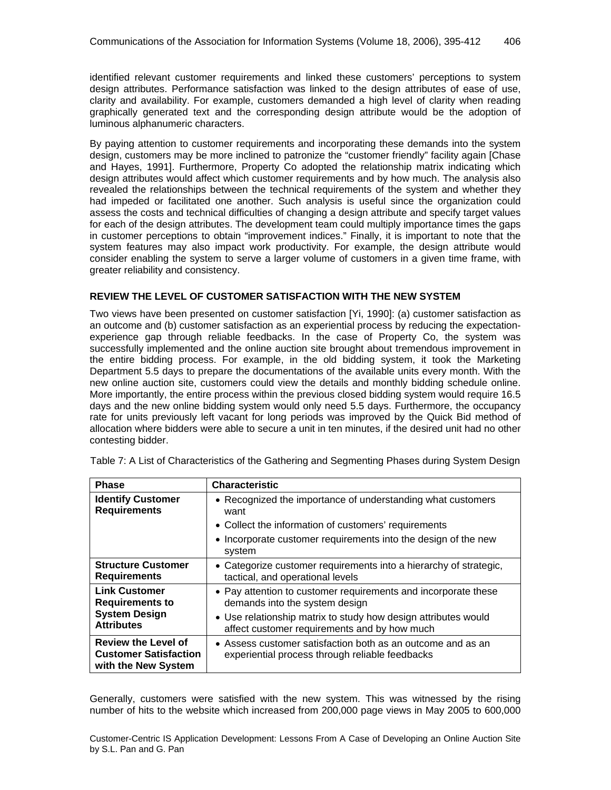identified relevant customer requirements and linked these customers' perceptions to system design attributes. Performance satisfaction was linked to the design attributes of ease of use, clarity and availability. For example, customers demanded a high level of clarity when reading graphically generated text and the corresponding design attribute would be the adoption of luminous alphanumeric characters.

By paying attention to customer requirements and incorporating these demands into the system design, customers may be more inclined to patronize the "customer friendly" facility again [Chase and Hayes, 1991]. Furthermore, Property Co adopted the relationship matrix indicating which design attributes would affect which customer requirements and by how much. The analysis also revealed the relationships between the technical requirements of the system and whether they had impeded or facilitated one another. Such analysis is useful since the organization could assess the costs and technical difficulties of changing a design attribute and specify target values for each of the design attributes. The development team could multiply importance times the gaps in customer perceptions to obtain "improvement indices." Finally, it is important to note that the system features may also impact work productivity. For example, the design attribute would consider enabling the system to serve a larger volume of customers in a given time frame, with greater reliability and consistency.

#### **REVIEW THE LEVEL OF CUSTOMER SATISFACTION WITH THE NEW SYSTEM**

Two views have been presented on customer satisfaction [Yi, 1990]: (a) customer satisfaction as an outcome and (b) customer satisfaction as an experiential process by reducing the expectationexperience gap through reliable feedbacks. In the case of Property Co, the system was successfully implemented and the online auction site brought about tremendous improvement in the entire bidding process. For example, in the old bidding system, it took the Marketing Department 5.5 days to prepare the documentations of the available units every month. With the new online auction site, customers could view the details and monthly bidding schedule online. More importantly, the entire process within the previous closed bidding system would require 16.5 days and the new online bidding system would only need 5.5 days. Furthermore, the occupancy rate for units previously left vacant for long periods was improved by the Quick Bid method of allocation where bidders were able to secure a unit in ten minutes, if the desired unit had no other contesting bidder.

| <b>Phase</b>                                                                                | <b>Characteristic</b>                                                                                                                                                                                              |
|---------------------------------------------------------------------------------------------|--------------------------------------------------------------------------------------------------------------------------------------------------------------------------------------------------------------------|
| <b>Identify Customer</b><br><b>Requirements</b>                                             | • Recognized the importance of understanding what customers<br>want<br>• Collect the information of customers' requirements<br>• Incorporate customer requirements into the design of the new<br>system            |
| <b>Structure Customer</b><br><b>Requirements</b>                                            | • Categorize customer requirements into a hierarchy of strategic,<br>tactical, and operational levels                                                                                                              |
| <b>Link Customer</b><br><b>Requirements to</b><br><b>System Design</b><br><b>Attributes</b> | • Pay attention to customer requirements and incorporate these<br>demands into the system design<br>• Use relationship matrix to study how design attributes would<br>affect customer requirements and by how much |
| <b>Review the Level of</b><br><b>Customer Satisfaction</b><br>with the New System           | • Assess customer satisfaction both as an outcome and as an<br>experiential process through reliable feedbacks                                                                                                     |

Table 7: A List of Characteristics of the Gathering and Segmenting Phases during System Design

Generally, customers were satisfied with the new system. This was witnessed by the rising number of hits to the website which increased from 200,000 page views in May 2005 to 600,000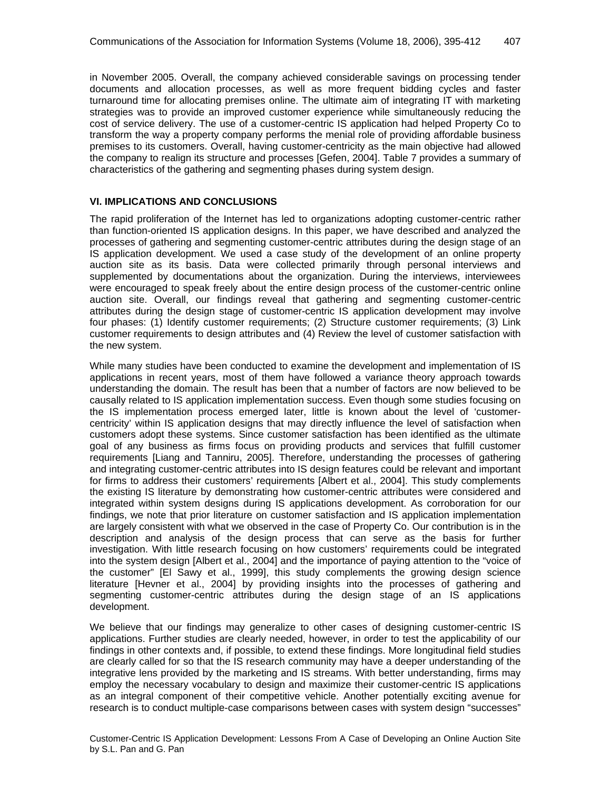in November 2005. Overall, the company achieved considerable savings on processing tender documents and allocation processes, as well as more frequent bidding cycles and faster turnaround time for allocating premises online. The ultimate aim of integrating IT with marketing strategies was to provide an improved customer experience while simultaneously reducing the cost of service delivery. The use of a customer-centric IS application had helped Property Co to transform the way a property company performs the menial role of providing affordable business premises to its customers. Overall, having customer-centricity as the main objective had allowed the company to realign its structure and processes [Gefen, 2004]. Table 7 provides a summary of characteristics of the gathering and segmenting phases during system design.

#### **VI. IMPLICATIONS AND CONCLUSIONS**

The rapid proliferation of the Internet has led to organizations adopting customer-centric rather than function-oriented IS application designs. In this paper, we have described and analyzed the processes of gathering and segmenting customer-centric attributes during the design stage of an IS application development. We used a case study of the development of an online property auction site as its basis. Data were collected primarily through personal interviews and supplemented by documentations about the organization. During the interviews, interviewees were encouraged to speak freely about the entire design process of the customer-centric online auction site. Overall, our findings reveal that gathering and segmenting customer-centric attributes during the design stage of customer-centric IS application development may involve four phases: (1) Identify customer requirements; (2) Structure customer requirements; (3) Link customer requirements to design attributes and (4) Review the level of customer satisfaction with the new system.

While many studies have been conducted to examine the development and implementation of IS applications in recent years, most of them have followed a variance theory approach towards understanding the domain. The result has been that a number of factors are now believed to be causally related to IS application implementation success. Even though some studies focusing on the IS implementation process emerged later, little is known about the level of 'customercentricity' within IS application designs that may directly influence the level of satisfaction when customers adopt these systems. Since customer satisfaction has been identified as the ultimate goal of any business as firms focus on providing products and services that fulfill customer requirements [Liang and Tanniru, 2005]. Therefore, understanding the processes of gathering and integrating customer-centric attributes into IS design features could be relevant and important for firms to address their customers' requirements [Albert et al., 2004]. This study complements the existing IS literature by demonstrating how customer-centric attributes were considered and integrated within system designs during IS applications development. As corroboration for our findings, we note that prior literature on customer satisfaction and IS application implementation are largely consistent with what we observed in the case of Property Co. Our contribution is in the description and analysis of the design process that can serve as the basis for further investigation. With little research focusing on how customers' requirements could be integrated into the system design [Albert et al., 2004] and the importance of paying attention to the "voice of the customer" [El Sawy et al., 1999], this study complements the growing design science literature [Hevner et al., 2004] by providing insights into the processes of gathering and segmenting customer-centric attributes during the design stage of an IS applications development.

We believe that our findings may generalize to other cases of designing customer-centric IS applications. Further studies are clearly needed, however, in order to test the applicability of our findings in other contexts and, if possible, to extend these findings. More longitudinal field studies are clearly called for so that the IS research community may have a deeper understanding of the integrative lens provided by the marketing and IS streams. With better understanding, firms may employ the necessary vocabulary to design and maximize their customer-centric IS applications as an integral component of their competitive vehicle. Another potentially exciting avenue for research is to conduct multiple-case comparisons between cases with system design "successes"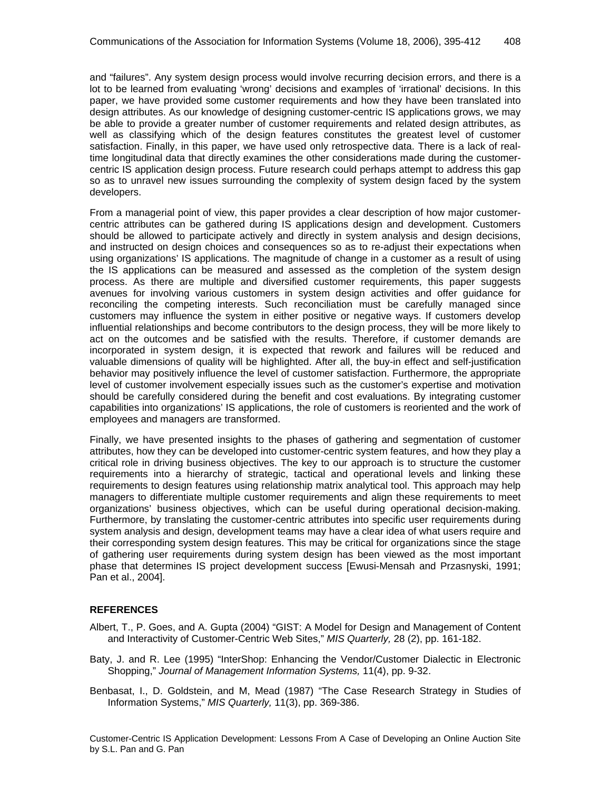and "failures". Any system design process would involve recurring decision errors, and there is a lot to be learned from evaluating 'wrong' decisions and examples of 'irrational' decisions. In this paper, we have provided some customer requirements and how they have been translated into design attributes. As our knowledge of designing customer-centric IS applications grows, we may be able to provide a greater number of customer requirements and related design attributes, as well as classifying which of the design features constitutes the greatest level of customer satisfaction. Finally, in this paper, we have used only retrospective data. There is a lack of realtime longitudinal data that directly examines the other considerations made during the customercentric IS application design process. Future research could perhaps attempt to address this gap so as to unravel new issues surrounding the complexity of system design faced by the system developers.

From a managerial point of view, this paper provides a clear description of how major customercentric attributes can be gathered during IS applications design and development. Customers should be allowed to participate actively and directly in system analysis and design decisions, and instructed on design choices and consequences so as to re-adjust their expectations when using organizations' IS applications. The magnitude of change in a customer as a result of using the IS applications can be measured and assessed as the completion of the system design process. As there are multiple and diversified customer requirements, this paper suggests avenues for involving various customers in system design activities and offer guidance for reconciling the competing interests. Such reconciliation must be carefully managed since customers may influence the system in either positive or negative ways. If customers develop influential relationships and become contributors to the design process, they will be more likely to act on the outcomes and be satisfied with the results. Therefore, if customer demands are incorporated in system design, it is expected that rework and failures will be reduced and valuable dimensions of quality will be highlighted. After all, the buy-in effect and self-justification behavior may positively influence the level of customer satisfaction. Furthermore, the appropriate level of customer involvement especially issues such as the customer's expertise and motivation should be carefully considered during the benefit and cost evaluations. By integrating customer capabilities into organizations' IS applications, the role of customers is reoriented and the work of employees and managers are transformed.

Finally, we have presented insights to the phases of gathering and segmentation of customer attributes, how they can be developed into customer-centric system features, and how they play a critical role in driving business objectives. The key to our approach is to structure the customer requirements into a hierarchy of strategic, tactical and operational levels and linking these requirements to design features using relationship matrix analytical tool. This approach may help managers to differentiate multiple customer requirements and align these requirements to meet organizations' business objectives, which can be useful during operational decision-making. Furthermore, by translating the customer-centric attributes into specific user requirements during system analysis and design, development teams may have a clear idea of what users require and their corresponding system design features. This may be critical for organizations since the stage of gathering user requirements during system design has been viewed as the most important phase that determines IS project development success [Ewusi-Mensah and Przasnyski, 1991; Pan et al., 2004].

#### **REFERENCES**

- Albert, T., P. Goes, and A. Gupta (2004) "GIST: A Model for Design and Management of Content and Interactivity of Customer-Centric Web Sites," *MIS Quarterly,* 28 (2), pp. 161-182.
- Baty, J. and R. Lee (1995) "InterShop: Enhancing the Vendor/Customer Dialectic in Electronic Shopping," *Journal of Management Information Systems,* 11(4), pp. 9-32.
- Benbasat, I., D. Goldstein, and M, Mead (1987) "The Case Research Strategy in Studies of Information Systems," *MIS Quarterly,* 11(3), pp. 369-386.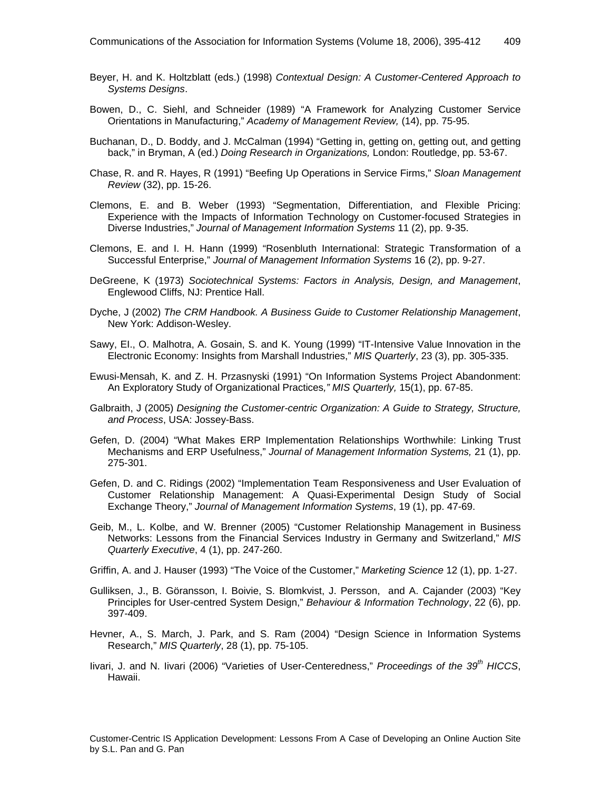- Beyer, H. and K. Holtzblatt (eds.) (1998) *Contextual Design: A Customer-Centered Approach to Systems Designs*.
- Bowen, D., C. Siehl, and Schneider (1989) "A Framework for Analyzing Customer Service Orientations in Manufacturing," *Academy of Management Review,* (14), pp. 75-95.
- Buchanan, D., D. Boddy, and J. McCalman (1994) "Getting in, getting on, getting out, and getting back," in Bryman, A (ed.) *Doing Research in Organizations,* London: Routledge, pp. 53-67.
- Chase, R. and R. Hayes, R (1991) "Beefing Up Operations in Service Firms," *Sloan Management Review* (32), pp. 15-26.
- Clemons, E. and B. Weber (1993) "Segmentation, Differentiation, and Flexible Pricing: Experience with the Impacts of Information Technology on Customer-focused Strategies in Diverse Industries," *Journal of Management Information Systems* 11 (2), pp. 9-35.
- Clemons, E. and I. H. Hann (1999) "Rosenbluth International: Strategic Transformation of a Successful Enterprise," *Journal of Management Information Systems* 16 (2), pp. 9-27.
- DeGreene, K (1973) *Sociotechnical Systems: Factors in Analysis, Design, and Management*, Englewood Cliffs, NJ: Prentice Hall.
- Dyche, J (2002) *The CRM Handbook. A Business Guide to Customer Relationship Management*, New York: Addison-Wesley.
- Sawy, EI., O. Malhotra, A. Gosain, S. and K. Young (1999) "IT-Intensive Value Innovation in the Electronic Economy: Insights from Marshall Industries," *MIS Quarterly*, 23 (3), pp. 305-335.
- Ewusi-Mensah, K. and Z. H. Przasnyski (1991) "On Information Systems Project Abandonment: An Exploratory Study of Organizational Practices*," MIS Quarterly,* 15(1), pp. 67-85.
- Galbraith, J (2005) *Designing the Customer-centric Organization: A Guide to Strategy, Structure, and Process*, USA: Jossey-Bass.
- Gefen, D. (2004) "What Makes ERP Implementation Relationships Worthwhile: Linking Trust Mechanisms and ERP Usefulness," *Journal of Management Information Systems,* 21 (1), pp. 275-301.
- Gefen, D. and C. Ridings (2002) "Implementation Team Responsiveness and User Evaluation of Customer Relationship Management: A Quasi-Experimental Design Study of Social Exchange Theory," *Journal of Management Information Systems*, 19 (1), pp. 47-69.
- Geib, M., L. Kolbe, and W. Brenner (2005) "Customer Relationship Management in Business Networks: Lessons from the Financial Services Industry in Germany and Switzerland," *MIS Quarterly Executive*, 4 (1), pp. 247-260.
- Griffin, A. and J. Hauser (1993) "The Voice of the Customer," *Marketing Science* 12 (1), pp. 1-27.
- Gulliksen, J., B. Göransson, I. Boivie, S. Blomkvist, J. Persson, and A. Cajander (2003) "Key Principles for User-centred System Design," *Behaviour & Information Technology*, 22 (6), pp. 397-409.
- Hevner, A., S. March, J. Park, and S. Ram (2004) "Design Science in Information Systems Research," *MIS Quarterly*, 28 (1), pp. 75-105.
- livari, J. and N. livari (2006) "Varieties of User-Centeredness," *Proceedings of the 39<sup>th</sup> HICCS*, Hawaii.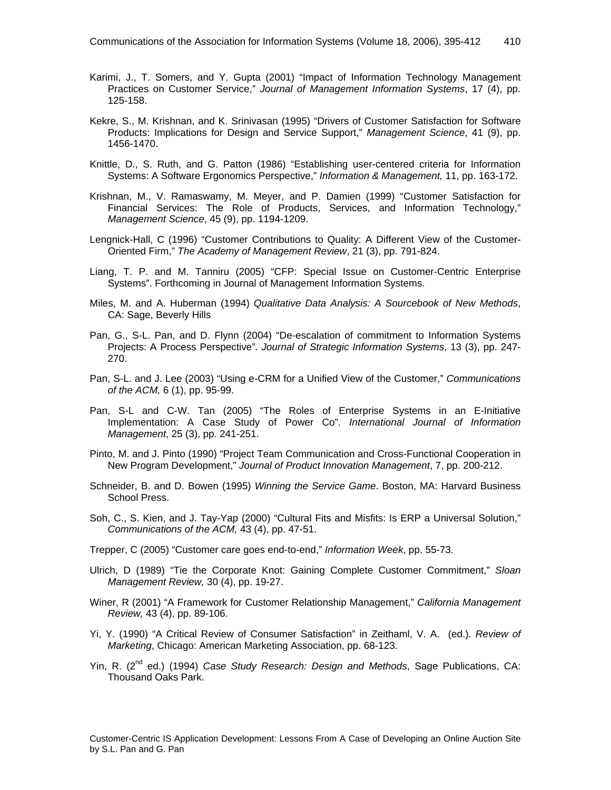- Karimi, J., T. Somers, and Y. Gupta (2001) "Impact of Information Technology Management Practices on Customer Service," *Journal of Management Information Systems*, 17 (4), pp. 125-158.
- Kekre, S., M. Krishnan, and K. Srinivasan (1995) "Drivers of Customer Satisfaction for Software Products: Implications for Design and Service Support," *Management Science*, 41 (9), pp. 1456-1470.
- Knittle, D., S. Ruth, and G. Patton (1986) "Establishing user-centered criteria for Information Systems: A Software Ergonomics Perspective," *Information & Management,* 11, pp. 163-172.
- Krishnan, M., V. Ramaswamy, M. Meyer, and P. Damien (1999) "Customer Satisfaction for Financial Services: The Role of Products, Services, and Information Technology," *Management Science*, 45 (9), pp. 1194-1209.
- Lengnick-Hall, C (1996) "Customer Contributions to Quality: A Different View of the Customer-Oriented Firm," *The Academy of Management Review*, 21 (3), pp. 791-824.
- Liang, T. P. and M. Tanniru (2005) "CFP: Special Issue on Customer-Centric Enterprise Systems". Forthcoming in Journal of Management Information Systems.
- Miles, M. and A. Huberman (1994) *Qualitative Data Analysis: A Sourcebook of New Methods*, CA: Sage, Beverly Hills
- Pan, G., S-L. Pan, and D. Flynn (2004) "De-escalation of commitment to Information Systems Projects: A Process Perspective". *Journal of Strategic Information Systems*, 13 (3), pp. 247- 270.
- Pan, S-L. and J. Lee (2003) "Using e-CRM for a Unified View of the Customer," *Communications of the ACM,* 6 (1), pp. 95-99.
- Pan, S-L and C-W. Tan (2005) "The Roles of Enterprise Systems in an E-Initiative Implementation: A Case Study of Power Co". *International Journal of Information Management*, 25 (3), pp. 241-251.
- Pinto, M. and J. Pinto (1990) "Project Team Communication and Cross-Functional Cooperation in New Program Development," *Journal of Product Innovation Management*, 7, pp. 200-212.
- Schneider, B. and D. Bowen (1995) *Winning the Service Game*. Boston, MA: Harvard Business School Press.
- Soh, C., S. Kien, and J. Tay-Yap (2000) "Cultural Fits and Misfits: Is ERP a Universal Solution," *Communications of the ACM,* 43 (4), pp. 47-51.
- Trepper, C (2005) "Customer care goes end-to-end," *Information Week*, pp. 55-73.
- Ulrich, D (1989) "Tie the Corporate Knot: Gaining Complete Customer Commitment," *Sloan Management Review,* 30 (4), pp. 19-27.
- Winer, R (2001) "A Framework for Customer Relationship Management," *California Management Review,* 43 (4), pp. 89-106.
- Yi, Y. (1990) "A Critical Review of Consumer Satisfaction" in Zeithaml, V. A. (ed.). *Review of Marketing*, Chicago: American Marketing Association, pp. 68-123.
- Yin, R. (2<sup>nd</sup> ed.) (1994) *Case Study Research: Design and Methods*, Sage Publications, CA: Thousand Oaks Park.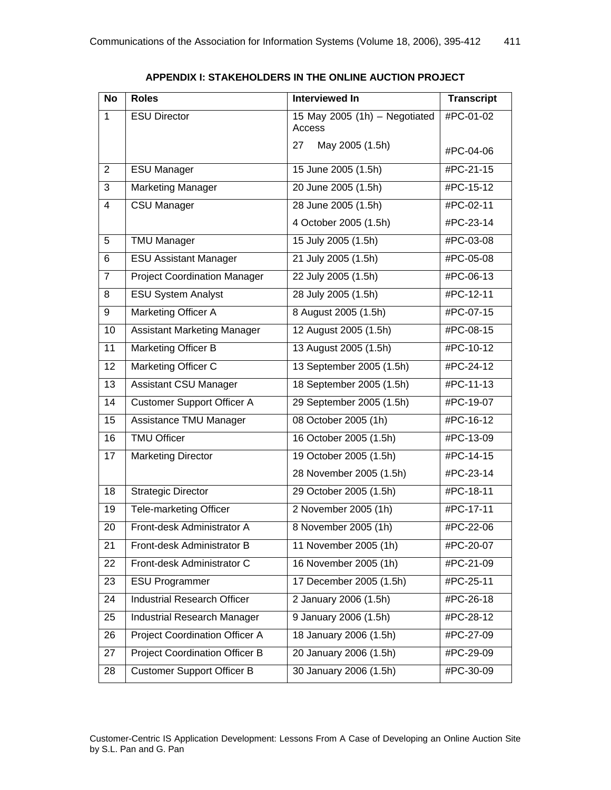| <b>No</b>      | <b>Roles</b>                          | <b>Interviewed In</b>                     | <b>Transcript</b> |
|----------------|---------------------------------------|-------------------------------------------|-------------------|
| 1              | <b>ESU Director</b>                   | 15 May 2005 (1h) $-$ Negotiated<br>Access | #PC-01-02         |
|                |                                       | May 2005 (1.5h)<br>27                     | #PC-04-06         |
| $\overline{2}$ | <b>ESU Manager</b>                    | 15 June 2005 (1.5h)                       | #PC-21-15         |
| $\overline{3}$ | <b>Marketing Manager</b>              | 20 June 2005 (1.5h)                       | #PC-15-12         |
| $\overline{4}$ | <b>CSU Manager</b>                    | 28 June 2005 (1.5h)                       | #PC-02-11         |
|                |                                       | 4 October 2005 (1.5h)                     | #PC-23-14         |
| 5              | <b>TMU Manager</b>                    | 15 July 2005 (1.5h)                       | #PC-03-08         |
| 6              | <b>ESU Assistant Manager</b>          | 21 July 2005 (1.5h)                       | #PC-05-08         |
| $\overline{7}$ | <b>Project Coordination Manager</b>   | 22 July 2005 (1.5h)                       | #PC-06-13         |
| 8              | <b>ESU System Analyst</b>             | 28 July 2005 (1.5h)                       | #PC-12-11         |
| 9              | Marketing Officer A                   | 8 August 2005 (1.5h)                      | #PC-07-15         |
| 10             | <b>Assistant Marketing Manager</b>    | 12 August 2005 (1.5h)                     | #PC-08-15         |
| 11             | Marketing Officer B                   | 13 August 2005 (1.5h)                     | #PC-10-12         |
| 12             | Marketing Officer C                   | 13 September 2005 (1.5h)                  | #PC-24-12         |
| 13             | Assistant CSU Manager                 | 18 September 2005 (1.5h)                  | #PC-11-13         |
| 14             | <b>Customer Support Officer A</b>     | 29 September 2005 (1.5h)                  | #PC-19-07         |
| 15             | Assistance TMU Manager                | 08 October 2005 (1h)                      | #PC-16-12         |
| 16             | <b>TMU Officer</b>                    | 16 October 2005 (1.5h)                    | #PC-13-09         |
| 17             | <b>Marketing Director</b>             | 19 October 2005 (1.5h)                    | #PC-14-15         |
|                |                                       | 28 November 2005 (1.5h)                   | #PC-23-14         |
| 18             | <b>Strategic Director</b>             | 29 October 2005 (1.5h)                    | #PC-18-11         |
| 19             | Tele-marketing Officer                | 2 November 2005 (1h)                      | #PC-17-11         |
| 20             | Front-desk Administrator A            | 8 November 2005 (1h)                      | #PC-22-06         |
| 21             | Front-desk Administrator B            | 11 November 2005 (1h)                     | #PC-20-07         |
| 22             | Front-desk Administrator C            | 16 November 2005 (1h)                     | #PC-21-09         |
| 23             | <b>ESU Programmer</b>                 | 17 December 2005 (1.5h)                   | #PC-25-11         |
| 24             | <b>Industrial Research Officer</b>    | 2 January 2006 (1.5h)                     | #PC-26-18         |
| 25             | <b>Industrial Research Manager</b>    | 9 January 2006 (1.5h)                     | #PC-28-12         |
| 26             | Project Coordination Officer A        | 18 January 2006 (1.5h)                    | #PC-27-09         |
| 27             | <b>Project Coordination Officer B</b> | 20 January 2006 (1.5h)                    | #PC-29-09         |
| 28             | <b>Customer Support Officer B</b>     | 30 January 2006 (1.5h)                    | #PC-30-09         |

**APPENDIX I: STAKEHOLDERS IN THE ONLINE AUCTION PROJECT**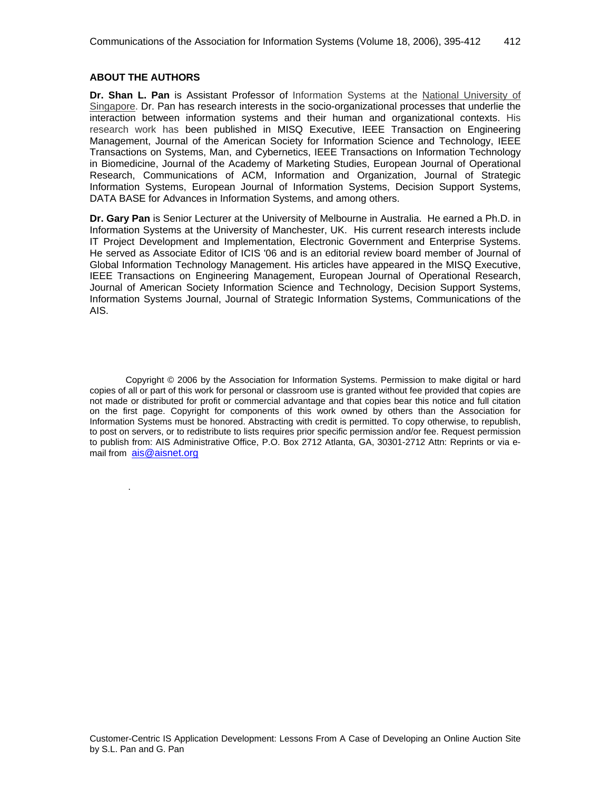#### **ABOUT THE AUTHORS**

.

**Dr. Shan L. Pan** is Assistant Professor of Information Systems at the [National University of](http://www.nus.edu.sg./)  [Singapore.](http://www.nus.edu.sg./) Dr. Pan has research interests in the socio-organizational processes that underlie the interaction between information systems and their human and organizational contexts. His research work has been published in MISQ Executive, IEEE Transaction on Engineering Management, Journal of the American Society for Information Science and Technology, IEEE Transactions on Systems, Man, and Cybernetics, IEEE Transactions on Information Technology in Biomedicine, Journal of the Academy of Marketing Studies, European Journal of Operational Research, Communications of ACM, Information and Organization, Journal of Strategic Information Systems, European Journal of Information Systems, Decision Support Systems, DATA BASE for Advances in Information Systems, and among others.

**Dr. Gary Pan** is Senior Lecturer at the University of Melbourne in Australia. He earned a Ph.D. in Information Systems at the University of Manchester, UK. His current research interests include IT Project Development and Implementation, Electronic Government and Enterprise Systems. He served as Associate Editor of ICIS '06 and is an editorial review board member of Journal of Global Information Technology Management. His articles have appeared in the MISQ Executive, IEEE Transactions on Engineering Management, European Journal of Operational Research, Journal of American Society Information Science and Technology, Decision Support Systems, Information Systems Journal, Journal of Strategic Information Systems, Communications of the AIS.

Copyright © 2006 by the Association for Information Systems. Permission to make digital or hard copies of all or part of this work for personal or classroom use is granted without fee provided that copies are not made or distributed for profit or commercial advantage and that copies bear this notice and full citation on the first page. Copyright for components of this work owned by others than the Association for Information Systems must be honored. Abstracting with credit is permitted. To copy otherwise, to republish, to post on servers, or to redistribute to lists requires prior specific permission and/or fee. Request permission to publish from: AIS Administrative Office, P.O. Box 2712 Atlanta, GA, 30301-2712 Attn: Reprints or via email from [ais@aisnet.org](mailto:ais@gsu.edu)